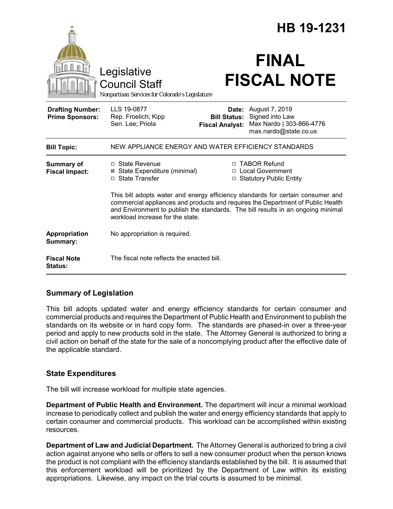|                                                   |                                                                                                                                                                                                                                                                                            | HB 19-1231                                             |                                                                                        |
|---------------------------------------------------|--------------------------------------------------------------------------------------------------------------------------------------------------------------------------------------------------------------------------------------------------------------------------------------------|--------------------------------------------------------|----------------------------------------------------------------------------------------|
|                                                   | Legislative<br><b>Council Staff</b><br>Nonpartisan Services for Colorado's Legislature                                                                                                                                                                                                     |                                                        | <b>FINAL</b><br><b>FISCAL NOTE</b>                                                     |
| <b>Drafting Number:</b><br><b>Prime Sponsors:</b> | LLS 19-0877<br>Rep. Froelich; Kipp<br>Sen. Lee; Priola                                                                                                                                                                                                                                     | Date:<br><b>Bill Status:</b><br><b>Fiscal Analyst:</b> | August 7, 2019<br>Signed into Law<br>Max Nardo   303-866-4776<br>max.nardo@state.co.us |
| <b>Bill Topic:</b>                                | NEW APPLIANCE ENERGY AND WATER EFFICIENCY STANDARDS                                                                                                                                                                                                                                        |                                                        |                                                                                        |
| Summary of<br><b>Fiscal Impact:</b>               | $\Box$ State Revenue<br>⊠ State Expenditure (minimal)<br>□ State Transfer                                                                                                                                                                                                                  |                                                        | □ TABOR Refund<br>□ Local Government<br>□ Statutory Public Entity                      |
|                                                   | This bill adopts water and energy efficiency standards for certain consumer and<br>commercial appliances and products and requires the Department of Public Health<br>and Environment to publish the standards. The bill results in an ongoing minimal<br>workload increase for the state. |                                                        |                                                                                        |
| <b>Appropriation</b><br>Summary:                  | No appropriation is required.                                                                                                                                                                                                                                                              |                                                        |                                                                                        |
| <b>Fiscal Note</b><br>Status:                     | The fiscal note reflects the enacted bill.                                                                                                                                                                                                                                                 |                                                        |                                                                                        |

## **Summary of Legislation**

This bill adopts updated water and energy efficiency standards for certain consumer and commercial products and requires the Department of Public Health and Environment to publish the standards on its website or in hard copy form. The standards are phased-in over a three-year period and apply to new products sold in the state. The Attorney General is authorized to bring a civil action on behalf of the state for the sale of a noncomplying product after the effective date of the applicable standard.

## **State Expenditures**

The bill will increase workload for multiple state agencies.

**Department of Public Health and Environment.** The department will incur a minimal workload increase to periodically collect and publish the water and energy efficiency standards that apply to certain consumer and commercial products. This workload can be accomplished within existing resources.

**Department of Law and Judicial Department.** The Attorney General is authorized to bring a civil action against anyone who sells or offers to sell a new consumer product when the person knows the product is not compliant with the efficiency standards established by the bill. It is assumed that this enforcement workload will be prioritized by the Department of Law within its existing appropriations. Likewise, any impact on the trial courts is assumed to be minimal.